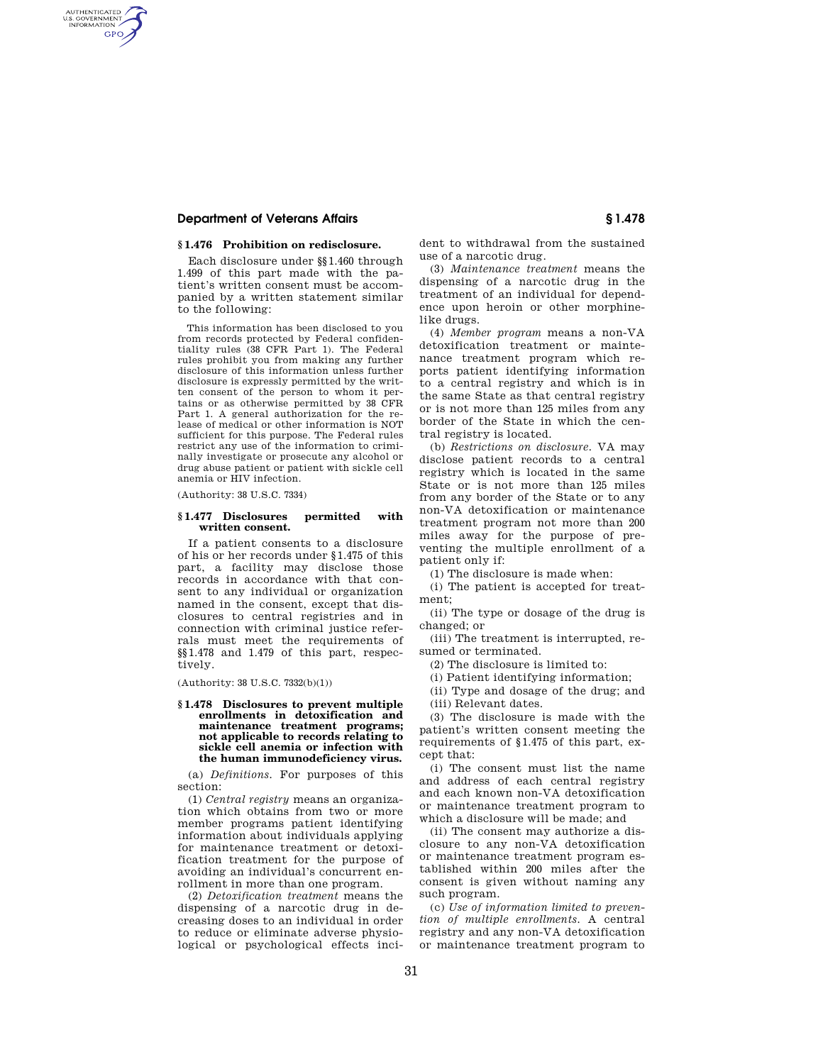# **Department of Veterans Affairs § 1.478**

AUTHENTICATED<br>U.S. GOVERNMENT<br>INFORMATION **GPO** 

## **§ 1.476 Prohibition on redisclosure.**

Each disclosure under §§1.460 through 1.499 of this part made with the patient's written consent must be accompanied by a written statement similar to the following:

This information has been disclosed to you from records protected by Federal confidentiality rules (38 CFR Part 1). The Federal rules prohibit you from making any further disclosure of this information unless further disclosure is expressly permitted by the written consent of the person to whom it pertains or as otherwise permitted by 38 CFR Part 1. A general authorization for the release of medical or other information is NOT sufficient for this purpose. The Federal rules restrict any use of the information to criminally investigate or prosecute any alcohol or drug abuse patient or patient with sickle cell anemia or HIV infection.

(Authority: 38 U.S.C. 7334)

## **§ 1.477 Disclosures permitted with written consent.**

If a patient consents to a disclosure of his or her records under §1.475 of this part, a facility may disclose those records in accordance with that consent to any individual or organization named in the consent, except that disclosures to central registries and in connection with criminal justice referrals must meet the requirements of §§1.478 and 1.479 of this part, respectively.

(Authority: 38 U.S.C. 7332(b)(1))

#### **§ 1.478 Disclosures to prevent multiple enrollments in detoxification and maintenance treatment programs; not applicable to records relating to sickle cell anemia or infection with the human immunodeficiency virus.**

(a) *Definitions.* For purposes of this section:

(1) *Central registry* means an organization which obtains from two or more member programs patient identifying information about individuals applying for maintenance treatment or detoxification treatment for the purpose of avoiding an individual's concurrent enrollment in more than one program.

(2) *Detoxification treatment* means the dispensing of a narcotic drug in decreasing doses to an individual in order to reduce or eliminate adverse physiological or psychological effects incident to withdrawal from the sustained use of a narcotic drug.

(3) *Maintenance treatment* means the dispensing of a narcotic drug in the treatment of an individual for dependence upon heroin or other morphinelike drugs.

(4) *Member program* means a non-VA detoxification treatment or maintenance treatment program which reports patient identifying information to a central registry and which is in the same State as that central registry or is not more than 125 miles from any border of the State in which the central registry is located.

(b) *Restrictions on disclosure.* VA may disclose patient records to a central registry which is located in the same State or is not more than 125 miles from any border of the State or to any non-VA detoxification or maintenance treatment program not more than 200 miles away for the purpose of preventing the multiple enrollment of a patient only if:

(1) The disclosure is made when:

(i) The patient is accepted for treat-

ment; (ii) The type or dosage of the drug is changed; or

(iii) The treatment is interrupted, resumed or terminated.

(2) The disclosure is limited to:

(i) Patient identifying information;

(ii) Type and dosage of the drug; and (iii) Relevant dates.

(3) The disclosure is made with the patient's written consent meeting the requirements of §1.475 of this part, except that:

(i) The consent must list the name and address of each central registry and each known non-VA detoxification or maintenance treatment program to which a disclosure will be made; and

(ii) The consent may authorize a disclosure to any non-VA detoxification or maintenance treatment program established within 200 miles after the consent is given without naming any such program.

(c) *Use of information limited to prevention of multiple enrollments.* A central registry and any non-VA detoxification or maintenance treatment program to